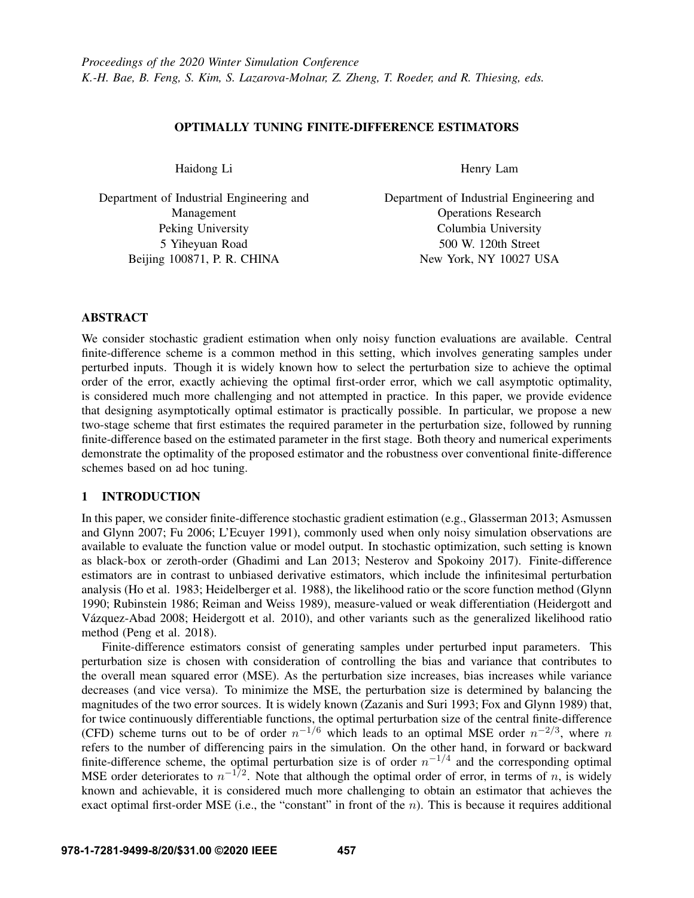# OPTIMALLY TUNING FINITE-DIFFERENCE ESTIMATORS

Haidong Li

Department of Industrial Engineering and Management Peking University 5 Yiheyuan Road Beijing 100871, P. R. CHINA

Henry Lam

Department of Industrial Engineering and Operations Research Columbia University 500 W. 120th Street New York, NY 10027 USA

# ABSTRACT

We consider stochastic gradient estimation when only noisy function evaluations are available. Central finite-difference scheme is a common method in this setting, which involves generating samples under perturbed inputs. Though it is widely known how to select the perturbation size to achieve the optimal order of the error, exactly achieving the optimal first-order error, which we call asymptotic optimality, is considered much more challenging and not attempted in practice. In this paper, we provide evidence that designing asymptotically optimal estimator is practically possible. In particular, we propose a new two-stage scheme that first estimates the required parameter in the perturbation size, followed by running finite-difference based on the estimated parameter in the first stage. Both theory and numerical experiments demonstrate the optimality of the proposed estimator and the robustness over conventional finite-difference schemes based on ad hoc tuning.

## 1 INTRODUCTION

In this paper, we consider finite-difference stochastic gradient estimation (e.g., [Glasserman 2013;](#page-10-0) [Asmussen](#page-10-1) [and Glynn 2007;](#page-10-1) [Fu 2006;](#page-10-2) [L'Ecuyer 1991\)](#page-11-0), commonly used when only noisy simulation observations are available to evaluate the function value or model output. In stochastic optimization, such setting is known as black-box or zeroth-order [\(Ghadimi and Lan 2013;](#page-10-3) [Nesterov and Spokoiny 2017\)](#page-11-1). Finite-difference estimators are in contrast to unbiased derivative estimators, which include the infinitesimal perturbation analysis [\(Ho et al. 1983;](#page-11-2) [Heidelberger et al. 1988\)](#page-11-3), the likelihood ratio or the score function method [\(Glynn](#page-10-4) [1990;](#page-10-4) [Rubinstein 1986;](#page-11-4) [Reiman and Weiss 1989\)](#page-11-5), measure-valued or weak differentiation [\(Heidergott and](#page-11-6) Vázquez-Abad 2008; [Heidergott et al. 2010\)](#page-11-7), and other variants such as the generalized likelihood ratio method [\(Peng et al. 2018\)](#page-11-8).

Finite-difference estimators consist of generating samples under perturbed input parameters. This perturbation size is chosen with consideration of controlling the bias and variance that contributes to the overall mean squared error (MSE). As the perturbation size increases, bias increases while variance decreases (and vice versa). To minimize the MSE, the perturbation size is determined by balancing the magnitudes of the two error sources. It is widely known [\(Zazanis and Suri 1993;](#page-11-9) [Fox and Glynn 1989\)](#page-10-5) that, for twice continuously differentiable functions, the optimal perturbation size of the central finite-difference (CFD) scheme turns out to be of order  $n^{-1/6}$  which leads to an optimal MSE order  $n^{-2/3}$ , where n refers to the number of differencing pairs in the simulation. On the other hand, in forward or backward finite-difference scheme, the optimal perturbation size is of order  $n^{-1/4}$  and the corresponding optimal MSE order deteriorates to  $n^{-1/2}$ . Note that although the optimal order of error, in terms of n, is widely known and achievable, it is considered much more challenging to obtain an estimator that achieves the exact optimal first-order MSE (i.e., the "constant" in front of the  $n$ ). This is because it requires additional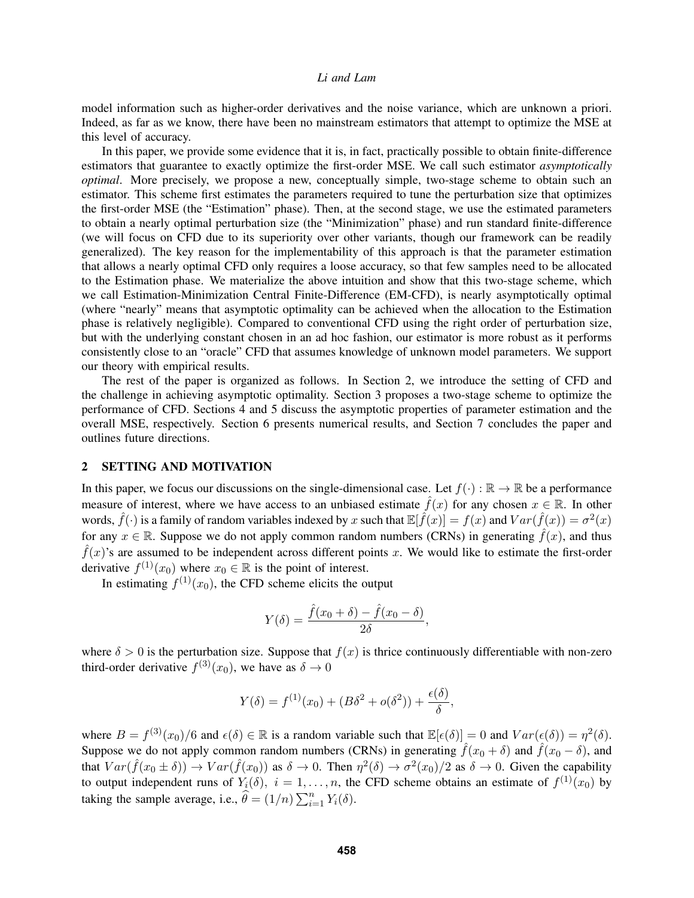model information such as higher-order derivatives and the noise variance, which are unknown a priori. Indeed, as far as we know, there have been no mainstream estimators that attempt to optimize the MSE at this level of accuracy.

In this paper, we provide some evidence that it is, in fact, practically possible to obtain finite-difference estimators that guarantee to exactly optimize the first-order MSE. We call such estimator *asymptotically optimal*. More precisely, we propose a new, conceptually simple, two-stage scheme to obtain such an estimator. This scheme first estimates the parameters required to tune the perturbation size that optimizes the first-order MSE (the "Estimation" phase). Then, at the second stage, we use the estimated parameters to obtain a nearly optimal perturbation size (the "Minimization" phase) and run standard finite-difference (we will focus on CFD due to its superiority over other variants, though our framework can be readily generalized). The key reason for the implementability of this approach is that the parameter estimation that allows a nearly optimal CFD only requires a loose accuracy, so that few samples need to be allocated to the Estimation phase. We materialize the above intuition and show that this two-stage scheme, which we call Estimation-Minimization Central Finite-Difference (EM-CFD), is nearly asymptotically optimal (where "nearly" means that asymptotic optimality can be achieved when the allocation to the Estimation phase is relatively negligible). Compared to conventional CFD using the right order of perturbation size, but with the underlying constant chosen in an ad hoc fashion, our estimator is more robust as it performs consistently close to an "oracle" CFD that assumes knowledge of unknown model parameters. We support our theory with empirical results.

The rest of the paper is organized as follows. In Section [2,](#page-1-0) we introduce the setting of CFD and the challenge in achieving asymptotic optimality. Section [3](#page-2-0) proposes a two-stage scheme to optimize the performance of CFD. Sections [4](#page-2-1) and [5](#page-5-0) discuss the asymptotic properties of parameter estimation and the overall MSE, respectively. Section [6](#page-7-0) presents numerical results, and Section [7](#page-9-0) concludes the paper and outlines future directions.

# <span id="page-1-0"></span>2 SETTING AND MOTIVATION

In this paper, we focus our discussions on the single-dimensional case. Let  $f(\cdot) : \mathbb{R} \to \mathbb{R}$  be a performance measure of interest, where we have access to an unbiased estimate  $\hat{f}(x)$  for any chosen  $x \in \mathbb{R}$ . In other words,  $\hat{f}(\cdot)$  is a family of random variables indexed by x such that  $\mathbb{E}[\hat{f}(x)] = f(x)$  and  $Var(\hat{f}(x)) = \sigma^2(x)$ for any  $x \in \mathbb{R}$ . Suppose we do not apply common random numbers (CRNs) in generating  $\hat{f}(x)$ , and thus  $\hat{f}(x)$ 's are assumed to be independent across different points x. We would like to estimate the first-order derivative  $f^{(1)}(x_0)$  where  $x_0 \in \mathbb{R}$  is the point of interest.

In estimating  $f^{(1)}(x_0)$ , the CFD scheme elicits the output

$$
Y(\delta) = \frac{\hat{f}(x_0 + \delta) - \hat{f}(x_0 - \delta)}{2\delta},
$$

where  $\delta > 0$  is the perturbation size. Suppose that  $f(x)$  is thrice continuously differentiable with non-zero third-order derivative  $f^{(3)}(x_0)$ , we have as  $\delta \to 0$ 

$$
Y(\delta) = f^{(1)}(x_0) + (B\delta^2 + o(\delta^2)) + \frac{\epsilon(\delta)}{\delta},
$$

where  $B = f^{(3)}(x_0)/6$  and  $\epsilon(\delta) \in \mathbb{R}$  is a random variable such that  $\mathbb{E}[\epsilon(\delta)] = 0$  and  $Var(\epsilon(\delta)) = \eta^2(\delta)$ . Suppose we do not apply common random numbers (CRNs) in generating  $\hat{f}(x_0 + \delta)$  and  $\hat{f}(x_0 - \delta)$ , and that  $Var(\hat{f}(x_0 \pm \delta)) \to Var(\hat{f}(x_0))$  as  $\delta \to 0$ . Then  $\eta^2(\delta) \to \sigma^2(x_0)/2$  as  $\delta \to 0$ . Given the capability to output independent runs of  $Y_i(\delta)$ ,  $i = 1, \ldots, n$ , the CFD scheme obtains an estimate of  $f^{(1)}(x_0)$  by taking the sample average, i.e.,  $\hat{\theta} = (1/n) \sum_{i=1}^{n} Y_i(\delta)$ .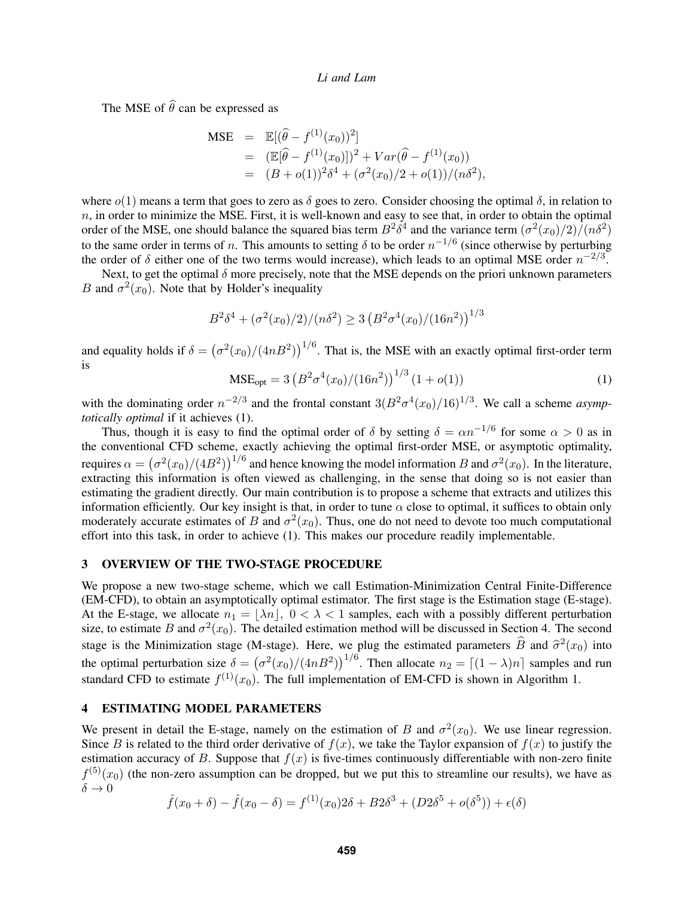The MSE of  $\widehat{\theta}$  can be expressed as

$$
\begin{array}{rcl}\n\text{MSE} & = & \mathbb{E}[(\widehat{\theta} - f^{(1)}(x_0))^2] \\
& = & \left( \mathbb{E}[\widehat{\theta} - f^{(1)}(x_0)] \right)^2 + Var(\widehat{\theta} - f^{(1)}(x_0)) \\
& = & \left( B + o(1) \right)^2 \delta^4 + \left( \sigma^2(x_0)/2 + o(1) \right) / (n \delta^2),\n\end{array}
$$

where  $o(1)$  means a term that goes to zero as  $\delta$  goes to zero. Consider choosing the optimal  $\delta$ , in relation to  $n$ , in order to minimize the MSE. First, it is well-known and easy to see that, in order to obtain the optimal order of the MSE, one should balance the squared bias term  $B^2 \delta^4$  and the variance term  $(\sigma^2(x_0)/2)/(n\delta^2)$ to the same order in terms of *n*. This amounts to setting  $\delta$  to be order  $n^{-1/6}$  (since otherwise by perturbing the order of  $\delta$  either one of the two terms would increase), which leads to an optimal MSE order  $n^{-2/3}$ .

Next, to get the optimal  $\delta$  more precisely, note that the MSE depends on the priori unknown parameters B and  $\sigma^2(x_0)$ . Note that by Holder's inequality

$$
B^2 \delta^4 + (\sigma^2(x_0)/2) / (n\delta^2) \ge 3 (B^2 \sigma^4(x_0)/(16n^2))^{1/3}
$$

and equality holds if  $\delta = (\sigma^2(x_0)/(4nB^2))^{1/6}$ . That is, the MSE with an exactly optimal first-order term is

<span id="page-2-2"></span>
$$
MSE_{opt} = 3\left(B^2 \sigma^4(x_0)/(16n^2)\right)^{1/3} (1+o(1))
$$
 (1)

with the dominating order  $n^{-2/3}$  and the frontal constant  $3(B^2\sigma^4(x_0)/16)^{1/3}$ . We call a scheme *asymptotically optimal* if it achieves [\(1\)](#page-2-2).

Thus, though it is easy to find the optimal order of  $\delta$  by setting  $\delta = \alpha n^{-1/6}$  for some  $\alpha > 0$  as in the conventional CFD scheme, exactly achieving the optimal first-order MSE, or asymptotic optimality, requires  $\alpha = (\sigma^2(x_0)/(4B^2))^{1/6}$  and hence knowing the model information B and  $\sigma^2(x_0)$ . In the literature, extracting this information is often viewed as challenging, in the sense that doing so is not easier than estimating the gradient directly. Our main contribution is to propose a scheme that extracts and utilizes this information efficiently. Our key insight is that, in order to tune  $\alpha$  close to optimal, it suffices to obtain only moderately accurate estimates of B and  $\sigma^2(x_0)$ . Thus, one do not need to devote too much computational effort into this task, in order to achieve [\(1\)](#page-2-2). This makes our procedure readily implementable.

## <span id="page-2-0"></span>3 OVERVIEW OF THE TWO-STAGE PROCEDURE

We propose a new two-stage scheme, which we call Estimation-Minimization Central Finite-Difference (EM-CFD), to obtain an asymptotically optimal estimator. The first stage is the Estimation stage (E-stage). At the E-stage, we allocate  $n_1 = |\lambda n|$ ,  $0 < \lambda < 1$  samples, each with a possibly different perturbation size, to estimate B and  $\sigma^2(x_0)$ . The detailed estimation method will be discussed in Section [4.](#page-2-1) The second stage is the Minimization stage (M-stage). Here, we plug the estimated parameters  $\hat{B}$  and  $\hat{\sigma}^2(x_0)$  into the optimal perturbation size  $\delta = (\sigma^2(x_0)/(4nB^2))^{1/6}$ . Then allocate  $n_2 = [(1 - \lambda)n]$  samples and run standard CFD to estimate  $f^{(1)}(x_0)$ . The full implementation of EM-CFD is shown in Algorithm 1.

#### <span id="page-2-1"></span>4 ESTIMATING MODEL PARAMETERS

We present in detail the E-stage, namely on the estimation of B and  $\sigma^2(x_0)$ . We use linear regression. Since B is related to the third order derivative of  $f(x)$ , we take the Taylor expansion of  $f(x)$  to justify the estimation accuracy of B. Suppose that  $f(x)$  is five-times continuously differentiable with non-zero finite  $f^{(5)}(x_0)$  (the non-zero assumption can be dropped, but we put this to streamline our results), we have as  $\delta \to 0$ 

$$
\hat{f}(x_0 + \delta) - \hat{f}(x_0 - \delta) = f^{(1)}(x_0)2\delta + B2\delta^3 + (D2\delta^5 + o(\delta^5)) + \epsilon(\delta)
$$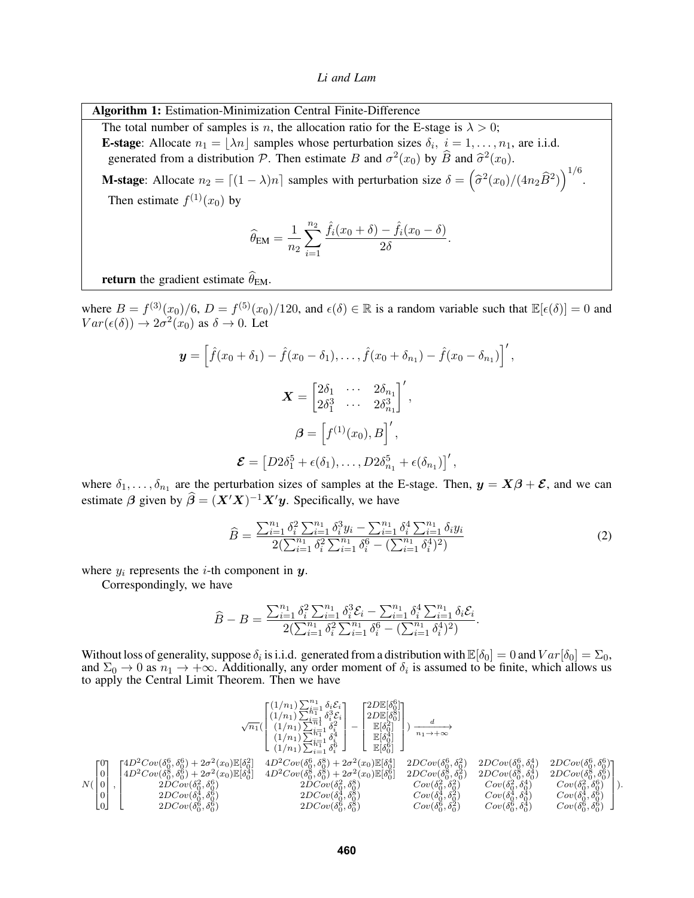*Li and Lam*

Algorithm 1: Estimation-Minimization Central Finite-Difference

The total number of samples is n, the allocation ratio for the E-stage is  $\lambda > 0$ ; **E-stage**: Allocate  $n_1 = \lfloor \lambda n \rfloor$  samples whose perturbation sizes  $\delta_i$ ,  $i = 1, \ldots, n_1$ , are i.i.d. generated from a distribution P. Then estimate B and  $\sigma^2(x_0)$  by  $\widehat{B}$  and  $\widehat{\sigma}^2(x_0)$ .

**M-stage**: Allocate  $n_2 = \lfloor (1 - \lambda)n \rfloor$  samples with perturbation size  $\delta = (\hat{\sigma}^2(x_0)/(4n_2\hat{B}^2))^{1/6}$ . Then estimate  $f^{(1)}(x_0)$  by

$$
\widehat{\theta}_{EM} = \frac{1}{n_2} \sum_{i=1}^{n_2} \frac{\widehat{f}_i(x_0 + \delta) - \widehat{f}_i(x_0 - \delta)}{2\delta}.
$$

**return** the gradient estimate  $\widehat{\theta}_{EM}$ .

where  $B = f^{(3)}(x_0)/6$ ,  $D = f^{(5)}(x_0)/120$ , and  $\epsilon(\delta) \in \mathbb{R}$  is a random variable such that  $\mathbb{E}[\epsilon(\delta)] = 0$  and  $Var(\epsilon(\delta)) \to 2\sigma^2(x_0)$  as  $\delta \to 0$ . Let

$$
\mathbf{y} = \left[\hat{f}(x_0 + \delta_1) - \hat{f}(x_0 - \delta_1), \dots, \hat{f}(x_0 + \delta_{n_1}) - \hat{f}(x_0 - \delta_{n_1})\right]',
$$

$$
\mathbf{X} = \begin{bmatrix} 2\delta_1 & \cdots & 2\delta_{n_1} \\ 2\delta_1^3 & \cdots & 2\delta_{n_1}^3 \end{bmatrix}',
$$

$$
\boldsymbol{\beta} = \left[f^{(1)}(x_0), B\right]',
$$

$$
\boldsymbol{\mathcal{E}} = \left[D2\delta_1^5 + \epsilon(\delta_1), \dots, D2\delta_{n_1}^5 + \epsilon(\delta_{n_1})\right]',
$$

where  $\delta_1, \ldots, \delta_{n_1}$  are the perturbation sizes of samples at the E-stage. Then,  $y = X\beta + \mathcal{E}$ , and we can estimate  $\beta$  given by  $\widehat{\beta} = (X'X)^{-1}X'y$ . Specifically, we have

<span id="page-3-0"></span>
$$
\widehat{B} = \frac{\sum_{i=1}^{n_1} \delta_i^2 \sum_{i=1}^{n_1} \delta_i^3 y_i - \sum_{i=1}^{n_1} \delta_i^4 \sum_{i=1}^{n_1} \delta_i y_i}{2(\sum_{i=1}^{n_1} \delta_i^2 \sum_{i=1}^{n_1} \delta_i^6 - (\sum_{i=1}^{n_1} \delta_i^4)^2)}
$$
(2)

where  $y_i$  represents the *i*-th component in  $y$ .

Correspondingly, we have

$$
\widehat{B} - B = \frac{\sum_{i=1}^{n_1} \delta_i^2 \sum_{i=1}^{n_1} \delta_i^3 \mathcal{E}_i - \sum_{i=1}^{n_1} \delta_i^4 \sum_{i=1}^{n_1} \delta_i \mathcal{E}_i}{2(\sum_{i=1}^{n_1} \delta_i^2 \sum_{i=1}^{n_1} \delta_i^6 - (\sum_{i=1}^{n_1} \delta_i^4)^2)}.
$$

Without loss of generality, suppose  $\delta_i$  is i.i.d. generated from a distribution with  $\mathbb{E}[\delta_0] = 0$  and  $Var[\delta_0] = \Sigma_0$ , and  $\Sigma_0 \to 0$  as  $n_1 \to +\infty$ . Additionally, any order moment of  $\delta_i$  is assumed to be finite, which allows us to apply the Central Limit Theorem. Then we have

$$
\mathcal{N}(\begin{bmatrix} 0\\ 0\\ 0\\ 0\\ 0 \end{bmatrix}, \begin{bmatrix} 4D^2Cov(\delta_0^6, \delta_0^6) + 2\sigma^2(x_0)\mathbb{E}[\delta_0^2]\\ 4D^2Cov(\delta_0^8, \delta_0^6) + 2\sigma^2(x_0)\mathbb{E}[\delta_0^2]\\ 2DCov(\delta_0^2, \delta_0^6)\\ 2DCov(\delta_0^2, \delta_0^6) \end{bmatrix} \begin{bmatrix} 4D^2Cov(\delta_0^6, \delta_0^6) + 2\sigma^2(x_0)\mathbb{E}[\delta_0^2]\\ 2D\mathbb{E}[\delta_0^2]\\ 4D^2Cov(\delta_0^8, \delta_0^6) + 2\sigma^2(x_0)\mathbb{E}[\delta_0^2]\\ 4D^2Cov(\delta_0^8, \delta_0^6) + 2\sigma^2(x_0)\mathbb{E}[\delta_0^4] & 4D^2Cov(\delta_0^8, \delta_0^8) + 2\sigma^2(x_0)\mathbb{E}[\delta_0^6]\\ 4D^2Cov(\delta_0^8, \delta_0^6) + 2\sigma^2(x_0)\mathbb{E}[\delta_0^4] & 4D^2Cov(\delta_0^8, \delta_0^8) + 2\sigma^2(x_0)\mathbb{E}[\delta_0^6] & 2DCov(\delta_0^8, \delta_0^2) & 2DCov(\delta_0^8, \delta_0^4) & 2DCov(\delta_0^8, \delta_0^6)\\ 2DCov(\delta_0^2, \delta_0^6) & 2DCov(\delta_0^2, \delta_0^8) & 2DCov(\delta_0^2, \delta_0^8) & Cov(\delta_0^2, \delta_0^4) & Cov(\delta_0^2, \delta_0^6)\\ 2DCov(\delta_0^6, \delta_0^6) & 2DCov(\delta_0^6, \delta_0^8) & Cov(\delta_0^6, \delta_0^2) & Cov(\delta_0^6, \delta_0^4) & Cov(\delta_0^6, \delta_0^6)\\ 2DCov(\delta_0^6, \delta_0^6) & 2DCov(\delta_0^6, \delta_0^8) & Cov(\delta_0^6, \delta_0^2) & Cov(\delta_0^6, \delta_0^4
$$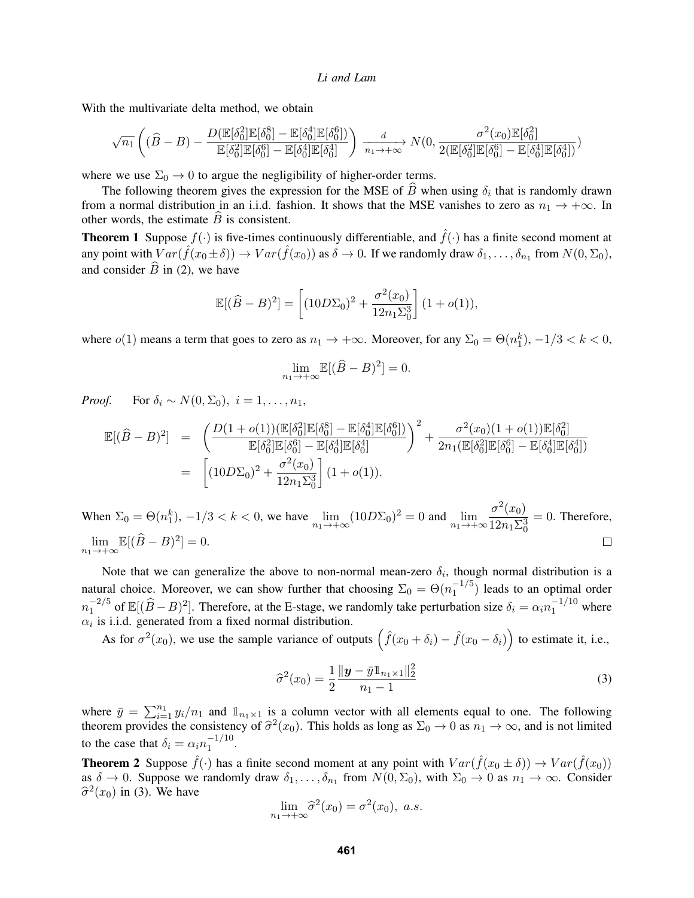With the multivariate delta method, we obtain

$$
\sqrt{n_1} \left( (\widehat{B} - B) - \frac{D(\mathbb{E}[\delta_0^2] \mathbb{E}[\delta_0^8] - \mathbb{E}[\delta_0^4] \mathbb{E}[\delta_0^6])}{\mathbb{E}[\delta_0^2] \mathbb{E}[\delta_0^6] - \mathbb{E}[\delta_0^4] \mathbb{E}[\delta_0^4]} \right) \xrightarrow[n_1 \to +\infty]{} N(0, \frac{\sigma^2(x_0) \mathbb{E}[\delta_0^2]}{2(\mathbb{E}[\delta_0^2] \mathbb{E}[\delta_0^6] - \mathbb{E}[\delta_0^4] \mathbb{E}[\delta_0^4])})
$$

where we use  $\Sigma_0 \rightarrow 0$  to argue the negligibility of higher-order terms.

The following theorem gives the expression for the MSE of B when using  $\delta_i$  that is randomly drawn from a normal distribution in an i.i.d. fashion. It shows that the MSE vanishes to zero as  $n_1 \to +\infty$ . In other words, the estimate  $\widehat{B}$  is consistent.

<span id="page-4-1"></span>**Theorem 1** Suppose  $f(\cdot)$  is five-times continuously differentiable, and  $\hat{f}(\cdot)$  has a finite second moment at any point with  $Var(\hat{f}(x_0 \pm \delta)) \to Var(\hat{f}(x_0))$  as  $\delta \to 0$ . If we randomly draw  $\delta_1, \ldots, \delta_{n_1}$  from  $N(0, \Sigma_0)$ , and consider  $\widehat{B}$  in [\(2\)](#page-3-0), we have

$$
\mathbb{E}[(\widehat{B}-B)^2] = \left[ (10D\Sigma_0)^2 + \frac{\sigma^2(x_0)}{12n_1\Sigma_0^3} \right] (1+o(1)),
$$

where  $o(1)$  means a term that goes to zero as  $n_1 \to +\infty$ . Moreover, for any  $\Sigma_0 = \Theta(n_1^k)$ ,  $-1/3 < k < 0$ ,

$$
\lim_{n_1 \to +\infty} \mathbb{E}[(\widehat{B} - B)^2] = 0.
$$

*Proof.* For  $\delta_i \sim N(0, \Sigma_0)$ ,  $i = 1, \ldots, n_1$ ,

$$
\mathbb{E}[(\hat{B} - B)^2] = \left(\frac{D(1 + o(1))(\mathbb{E}[\delta_0^2] \mathbb{E}[\delta_0^8] - \mathbb{E}[\delta_0^4] \mathbb{E}[\delta_0^6])}{\mathbb{E}[\delta_0^2] \mathbb{E}[\delta_0^6] - \mathbb{E}[\delta_0^4] \mathbb{E}[\delta_0^4]}{\right)^2} + \frac{\sigma^2(x_0)(1 + o(1))\mathbb{E}[\delta_0^2]}{2n_1(\mathbb{E}[\delta_0^2] \mathbb{E}[\delta_0^6] - \mathbb{E}[\delta_0^4] \mathbb{E}[\delta_0^4])}
$$
  
= 
$$
\left[(10D\Sigma_0)^2 + \frac{\sigma^2(x_0)}{12n_1\Sigma_0^3}\right](1 + o(1)).
$$

When  $\Sigma_0 = \Theta(n_1^k)$ ,  $-1/3 < k < 0$ , we have  $\lim_{n_1 \to +\infty} (10D\Sigma_0)^2 = 0$  and  $\lim_{n_1 \to +\infty} \frac{\sigma^2(x_0)}{12n_1\Sigma_0^2}$  $= 0$ . Therefore,  $12n_1\Sigma_0^3$  $\lim_{n_1 \to +\infty} \mathbb{E}[(\widehat{B} - B)^2] = 0.$  $\Box$ 

Note that we can generalize the above to non-normal mean-zero  $\delta_i$ , though normal distribution is a natural choice. Moreover, we can show further that choosing  $\Sigma_0 = \Theta(n_1^{-1/5})$  $\binom{-1}{1}$  leads to an optimal order  $n_1^{-2/5}$  $\int_1^{-2/5}$  of  $\mathbb{E}[(\widehat{B}-B)^2]$ . Therefore, at the E-stage, we randomly take perturbation size  $\delta_i = \alpha_i n_1^{-1/10}$  where  $\alpha_i$  is i.i.d. generated from a fixed normal distribution.

As for  $\sigma^2(x_0)$ , we use the sample variance of outputs  $(\hat{f}(x_0 + \delta_i) - \hat{f}(x_0 - \delta_i))$  to estimate it, i.e.,

<span id="page-4-0"></span>
$$
\widehat{\sigma}^2(x_0) = \frac{1}{2} \frac{\|\mathbf{y} - \bar{y}\mathbb{1}_{n_1 \times 1}\|_2^2}{n_1 - 1}
$$
\n(3)

where  $\bar{y} = \sum_{i=1}^{n_1} y_i/n_1$  and  $\mathbb{1}_{n_1 \times 1}$  is a column vector with all elements equal to one. The following theorem provides the consistency of  $\hat{\sigma}^2(x_0)$ . This holds as long as  $\Sigma_0 \to 0$  as  $n_1 \to \infty$ , and is not limited to the case that  $\delta_i = \alpha_i n_1^{-1/10}$  $\frac{-1}{1}$ .

<span id="page-4-2"></span>**Theorem 2** Suppose  $\hat{f}(\cdot)$  has a finite second moment at any point with  $Var(\hat{f}(x_0 \pm \delta)) \to Var(\hat{f}(x_0))$ as  $\delta \to 0$ . Suppose we randomly draw  $\delta_1, \ldots, \delta_{n_1}$  from  $N(0, \Sigma_0)$ , with  $\Sigma_0 \to 0$  as  $n_1 \to \infty$ . Consider  $\hat{\sigma}^2(x_0)$  in [\(3\)](#page-4-0). We have

$$
\lim_{n_1 \to +\infty} \widehat{\sigma}^2(x_0) = \sigma^2(x_0), \ a.s.
$$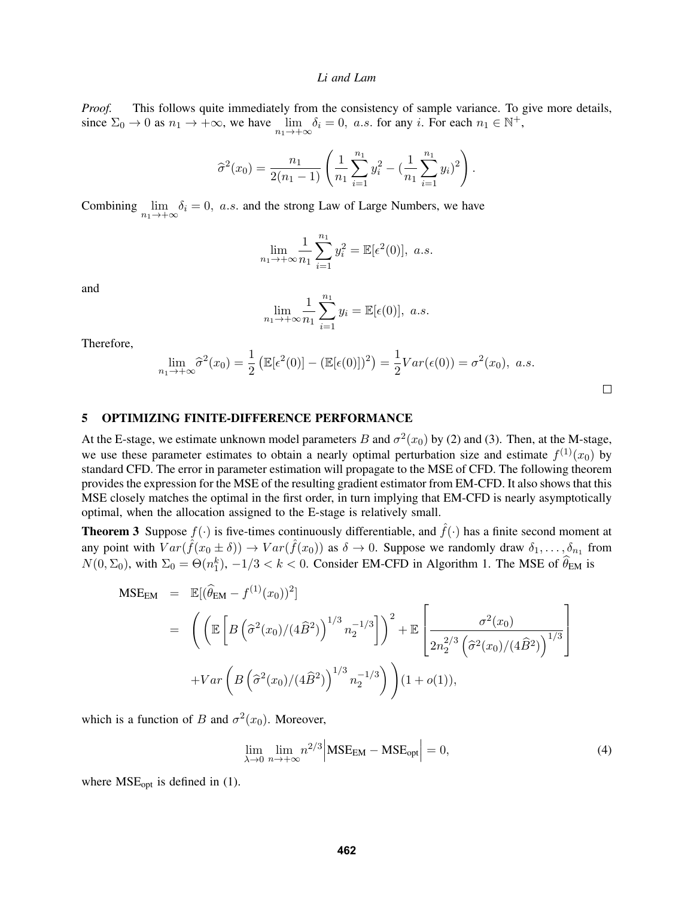*Proof.* This follows quite immediately from the consistency of sample variance. To give more details, since  $\Sigma_0 \to 0$  as  $n_1 \to +\infty$ , we have  $\lim_{n_1 \to +\infty} \delta_i = 0$ , a.s. for any i. For each  $n_1 \in \mathbb{N}^+$ ,

$$
\widehat{\sigma}^2(x_0) = \frac{n_1}{2(n_1-1)} \left( \frac{1}{n_1} \sum_{i=1}^{n_1} y_i^2 - \left( \frac{1}{n_1} \sum_{i=1}^{n_1} y_i \right)^2 \right).
$$

Combining  $\lim_{n_1 \to +\infty} \delta_i = 0$ , *a.s.* and the strong Law of Large Numbers, we have

$$
\lim_{n_1 \to +\infty} \frac{1}{n_1} \sum_{i=1}^{n_1} y_i^2 = \mathbb{E}[\epsilon^2(0)], \ a.s.
$$

and

$$
\lim_{n_1 \to +\infty} \frac{1}{n_1} \sum_{i=1}^{n_1} y_i = \mathbb{E}[\epsilon(0)], \ a.s.
$$

Therefore,

$$
\lim_{n_1 \to +\infty} \widehat{\sigma}^2(x_0) = \frac{1}{2} \left( \mathbb{E}[\epsilon^2(0)] - (\mathbb{E}[\epsilon(0)])^2 \right) = \frac{1}{2} Var(\epsilon(0)) = \sigma^2(x_0), \ a.s.
$$

<span id="page-5-1"></span>

## <span id="page-5-0"></span>5 OPTIMIZING FINITE-DIFFERENCE PERFORMANCE

At the E-stage, we estimate unknown model parameters B and  $\sigma^2(x_0)$  by [\(2\)](#page-3-0) and [\(3\)](#page-4-0). Then, at the M-stage, we use these parameter estimates to obtain a nearly optimal perturbation size and estimate  $f^{(1)}(x_0)$  by standard CFD. The error in parameter estimation will propagate to the MSE of CFD. The following theorem provides the expression for the MSE of the resulting gradient estimator from EM-CFD. It also shows that this MSE closely matches the optimal in the first order, in turn implying that EM-CFD is nearly asymptotically optimal, when the allocation assigned to the E-stage is relatively small.

**Theorem 3** Suppose  $f(\cdot)$  is five-times continuously differentiable, and  $\hat{f}(\cdot)$  has a finite second moment at any point with  $Var(\hat{f}(x_0 \pm \delta)) \to Var(\hat{f}(x_0))$  as  $\delta \to 0$ . Suppose we randomly draw  $\delta_1, \ldots, \delta_{n_1}$  from  $N(0, \Sigma_0)$ , with  $\Sigma_0 = \Theta(n_1^k)$ ,  $-1/3 < k < 0$ . Consider EM-CFD in Algorithm 1. The MSE of  $\widehat{\theta}_{EM}$  is

$$
\begin{split}\n\text{MSE}_{\text{EM}} &= \mathbb{E}[(\hat{\theta}_{\text{EM}} - f^{(1)}(x_0))^2] \\
&= \left( \left( \mathbb{E} \left[ B \left( \hat{\sigma}^2(x_0) / (4 \hat{B}^2) \right)^{1/3} n_2^{-1/3} \right] \right)^2 + \mathbb{E} \left[ \frac{\sigma^2(x_0)}{2n_2^{2/3} \left( \hat{\sigma}^2(x_0) / (4 \hat{B}^2) \right)^{1/3}} \right] \\
&\quad + \text{Var} \left( B \left( \hat{\sigma}^2(x_0) / (4 \hat{B}^2) \right)^{1/3} n_2^{-1/3} \right) \right) (1 + o(1)),\n\end{split}
$$

which is a function of B and  $\sigma^2(x_0)$ . Moreover,

$$
\lim_{\lambda \to 0} \lim_{n \to +\infty} n^{2/3} \left| \text{MSE}_{\text{EM}} - \text{MSE}_{\text{opt}} \right| = 0,\tag{4}
$$

where  $MSE_{opt}$  is defined in [\(1\)](#page-2-2).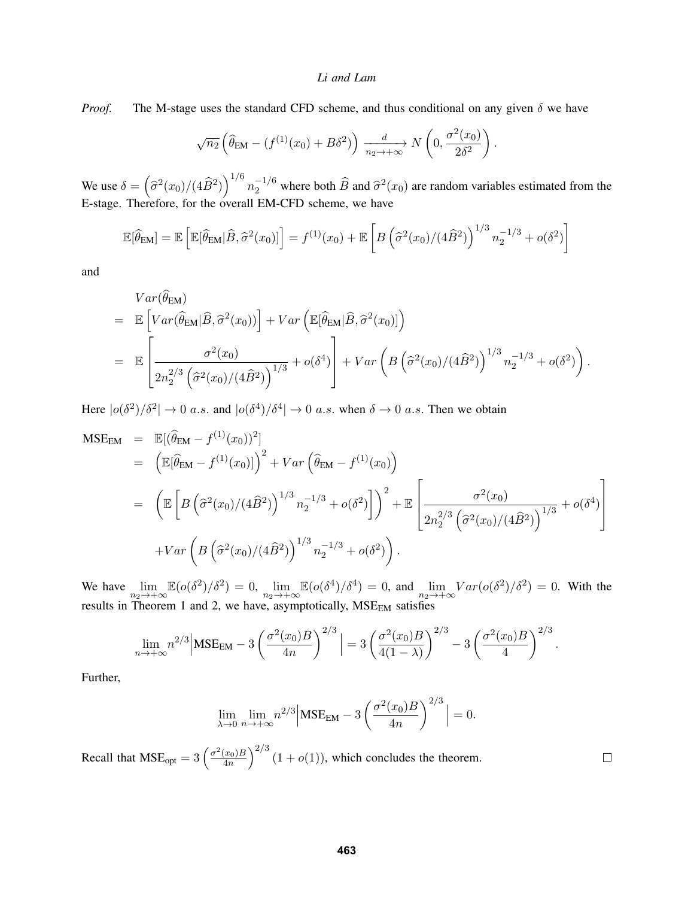*Proof.* The M-stage uses the standard CFD scheme, and thus conditional on any given  $\delta$  we have

$$
\sqrt{n_2} \left( \widehat{\theta}_{EM} - (f^{(1)}(x_0) + B\delta^2) \right) \xrightarrow[n_2 \to +\infty]{d} N\left( 0, \frac{\sigma^2(x_0)}{2\delta^2} \right).
$$

We use  $\delta = (\hat{\sigma}^2(x_0)/(4\hat{B}^2))^{1/6} n_2^{-1/6}$  where both  $\hat{B}$  and  $\hat{\sigma}^2(x_0)$  are random variables estimated from the E-stage. Therefore, for the overall EM-CFD scheme, we have

$$
\mathbb{E}[\widehat{\theta}_{EM}] = \mathbb{E}\left[\mathbb{E}[\widehat{\theta}_{EM}|\widehat{B}, \widehat{\sigma}^2(x_0)]\right] = f^{(1)}(x_0) + \mathbb{E}\left[B\left(\widehat{\sigma}^2(x_0)/(4\widehat{B}^2)\right)^{1/3}n_2^{-1/3} + o(\delta^2)\right]
$$

and

$$
Var(\widehat{\theta}_{EM})
$$
\n
$$
= \mathbb{E}\left[Var(\widehat{\theta}_{EM}|\widehat{B},\widehat{\sigma}^{2}(x_{0}))\right] + Var\left(\mathbb{E}[\widehat{\theta}_{EM}|\widehat{B},\widehat{\sigma}^{2}(x_{0})]\right)
$$
\n
$$
= \mathbb{E}\left[\frac{\sigma^{2}(x_{0})}{2n_{2}^{2/3}\left(\widehat{\sigma}^{2}(x_{0})/(4\widehat{B}^{2})\right)^{1/3}} + o(\delta^{4})\right] + Var\left(B\left(\widehat{\sigma}^{2}(x_{0})/(4\widehat{B}^{2})\right)^{1/3}n_{2}^{-1/3} + o(\delta^{2})\right).
$$

Here  $|o(\delta^2)/\delta^2| \to 0$  a.s. and  $|o(\delta^4)/\delta^4| \to 0$  a.s. when  $\delta \to 0$  a.s. Then we obtain

$$
\begin{split}\n\text{MSE}_{\text{EM}} &= \mathbb{E}[(\hat{\theta}_{\text{EM}} - f^{(1)}(x_0))^2] \\
&= \left( \mathbb{E}[\hat{\theta}_{\text{EM}} - f^{(1)}(x_0)] \right)^2 + Var\left( \hat{\theta}_{\text{EM}} - f^{(1)}(x_0) \right) \\
&= \left( \mathbb{E} \left[ B\left( \hat{\sigma}^2(x_0)/(4\hat{B}^2) \right)^{1/3} n_2^{-1/3} + o(\delta^2) \right] \right)^2 + \mathbb{E} \left[ \frac{\sigma^2(x_0)}{2n_2^{2/3} \left( \hat{\sigma}^2(x_0)/(4\hat{B}^2) \right)^{1/3}} + o(\delta^4) \right] \\
&+ Var\left( B\left( \hat{\sigma}^2(x_0)/(4\hat{B}^2) \right)^{1/3} n_2^{-1/3} + o(\delta^2) \right).\n\end{split}
$$

We have  $\lim_{n_2 \to +\infty} \mathbb{E}(o(\delta^2)/\delta^2) = 0$ ,  $\lim_{n_2 \to +\infty} \mathbb{E}(o(\delta^4)/\delta^4) = 0$ , and  $\lim_{n_2 \to +\infty} Var(o(\delta^2)/\delta^2) = 0$ . With the results in Theorem [1](#page-4-1) and [2,](#page-4-2) we have, asymptotically,  $MSE_{EM}$  satisfies

$$
\lim_{n \to +\infty} n^{2/3} \Big| \text{MSE}_{\text{EM}} - 3 \left( \frac{\sigma^2(x_0)B}{4n} \right)^{2/3} \Big| = 3 \left( \frac{\sigma^2(x_0)B}{4(1-\lambda)} \right)^{2/3} - 3 \left( \frac{\sigma^2(x_0)B}{4} \right)^{2/3}.
$$

Further,

$$
\lim_{\lambda \to 0} \lim_{n \to +\infty} n^{2/3} \left| \text{MSE}_{\text{EM}} - 3 \left( \frac{\sigma^2(x_0)B}{4n} \right)^{2/3} \right| = 0.
$$

 $\Box$ 

Recall that  $MSE_{opt} = 3 \left( \frac{\sigma^2(x_0)B}{4n} \right)$  $\left(\frac{x_0}{4n}\right)^{2/3}$   $(1+o(1))$ , which concludes the theorem.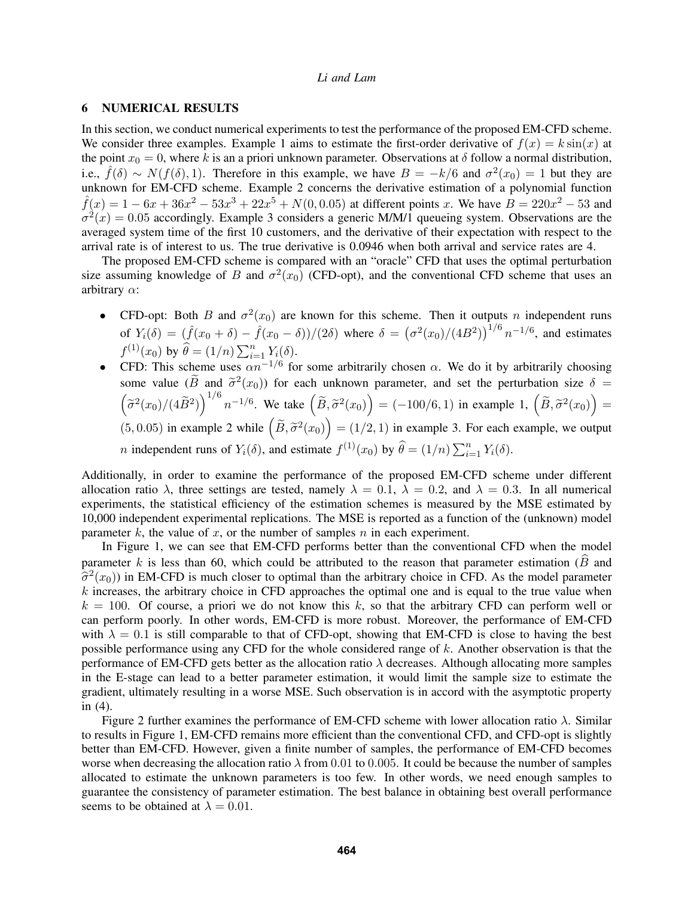## <span id="page-7-0"></span>6 NUMERICAL RESULTS

In this section, we conduct numerical experiments to test the performance of the proposed EM-CFD scheme. We consider three examples. Example 1 aims to estimate the first-order derivative of  $f(x) = k \sin(x)$  at the point  $x_0 = 0$ , where k is an a priori unknown parameter. Observations at  $\delta$  follow a normal distribution, i.e.,  $\hat{f}(\delta) \sim N(f(\delta), 1)$ . Therefore in this example, we have  $B = -k/6$  and  $\sigma^2(x_0) = 1$  but they are unknown for EM-CFD scheme. Example 2 concerns the derivative estimation of a polynomial function  $\hat{f}(x) = 1 - 6x + 36x^2 - 53x^3 + 22x^5 + N(0, 0.05)$  at different points x. We have  $B = 220x^2 - 53$  and  $\sigma^2(x) = 0.05$  accordingly. Example 3 considers a generic M/M/1 queueing system. Observations are the averaged system time of the first 10 customers, and the derivative of their expectation with respect to the arrival rate is of interest to us. The true derivative is 0.0946 when both arrival and service rates are 4.

The proposed EM-CFD scheme is compared with an "oracle" CFD that uses the optimal perturbation size assuming knowledge of B and  $\sigma^2(x_0)$  (CFD-opt), and the conventional CFD scheme that uses an arbitrary  $\alpha$ :

- CFD-opt: Both B and  $\sigma^2(x_0)$  are known for this scheme. Then it outputs n independent runs of  $Y_i(\delta) = (\hat{f}(x_0 + \delta) - \hat{f}(x_0 - \delta))/(2\delta)$  where  $\delta = (\sigma^2(x_0)/(4B^2))^{1/6} n^{-1/6}$ , and estimates  $f^{(1)}(x_0)$  by  $\widehat{\theta} = (1/n) \sum_{i=1}^n Y_i(\delta)$ .
- CFD: This scheme uses  $\alpha n^{-1/6}$  for some arbitrarily chosen  $\alpha$ . We do it by arbitrarily choosing some value (B and  $\tilde{\sigma}^2(x_0)$ ) for each unknown parameter, and set the perturbation size  $\delta = (\tilde{\sigma}^2(x_0)/(4\tilde{B}^2))^{1/6} n^{-1/6}$ . We take  $(\tilde{B}, \tilde{\sigma}^2(x_0)) = (-100/6, 1)$  in example 1,  $(\tilde{B}, \tilde{\sigma}^2(x_0)) =$  $2(x_0)$ ) for each unknown parameter, and set the perturbation size  $\delta =$ (5, 0.05) in example 2 while  $(\tilde{B}, \tilde{\sigma}^2(x_0)) = (1/2, 1)$  in example 3. For each example, we output *n* independent runs of  $Y_i(\delta)$ , and estimate  $f^{(1)}(x_0)$  by  $\widehat{\theta} = (1/n) \sum_{i=1}^n Y_i(\delta)$ .

Additionally, in order to examine the performance of the proposed EM-CFD scheme under different allocation ratio  $\lambda$ , three settings are tested, namely  $\lambda = 0.1$ ,  $\lambda = 0.2$ , and  $\lambda = 0.3$ . In all numerical experiments, the statistical efficiency of the estimation schemes is measured by the MSE estimated by 10,000 independent experimental replications. The MSE is reported as a function of the (unknown) model parameter k, the value of x, or the number of samples n in each experiment.

In Figure [1,](#page-8-0) we can see that EM-CFD performs better than the conventional CFD when the model parameter k is less than 60, which could be attributed to the reason that parameter estimation ( $\hat{B}$  and  $\hat{\sigma}^2(x_0)$ ) in EM-CFD is much closer to optimal than the arbitrary choice in CFD. As the model parameter  $k$  increases the arbitrary choice in CFD approaches the optimal one and is equal to the true value when  $k$  increases, the arbitrary choice in CFD approaches the optimal one and is equal to the true value when  $k = 100$ . Of course, a priori we do not know this k, so that the arbitrary CFD can perform well or can perform poorly. In other words, EM-CFD is more robust. Moreover, the performance of EM-CFD with  $\lambda = 0.1$  is still comparable to that of CFD-opt, showing that EM-CFD is close to having the best possible performance using any CFD for the whole considered range of k. Another observation is that the performance of EM-CFD gets better as the allocation ratio  $\lambda$  decreases. Although allocating more samples in the E-stage can lead to a better parameter estimation, it would limit the sample size to estimate the gradient, ultimately resulting in a worse MSE. Such observation is in accord with the asymptotic property in [\(4\)](#page-5-1).

Figure [2](#page-8-1) further examines the performance of EM-CFD scheme with lower allocation ratio  $\lambda$ . Similar to results in Figure [1,](#page-8-0) EM-CFD remains more efficient than the conventional CFD, and CFD-opt is slightly better than EM-CFD. However, given a finite number of samples, the performance of EM-CFD becomes worse when decreasing the allocation ratio  $\lambda$  from 0.01 to 0.005. It could be because the number of samples allocated to estimate the unknown parameters is too few. In other words, we need enough samples to guarantee the consistency of parameter estimation. The best balance in obtaining best overall performance seems to be obtained at  $\lambda = 0.01$ .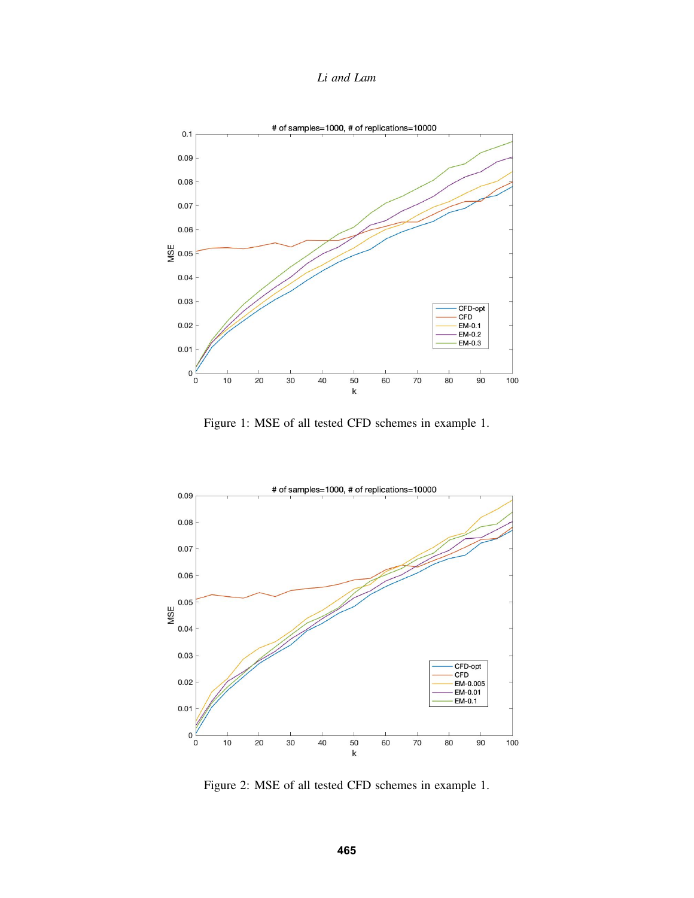*Li and Lam*



<span id="page-8-0"></span>Figure 1: MSE of all tested CFD schemes in example 1.



<span id="page-8-1"></span>Figure 2: MSE of all tested CFD schemes in example 1.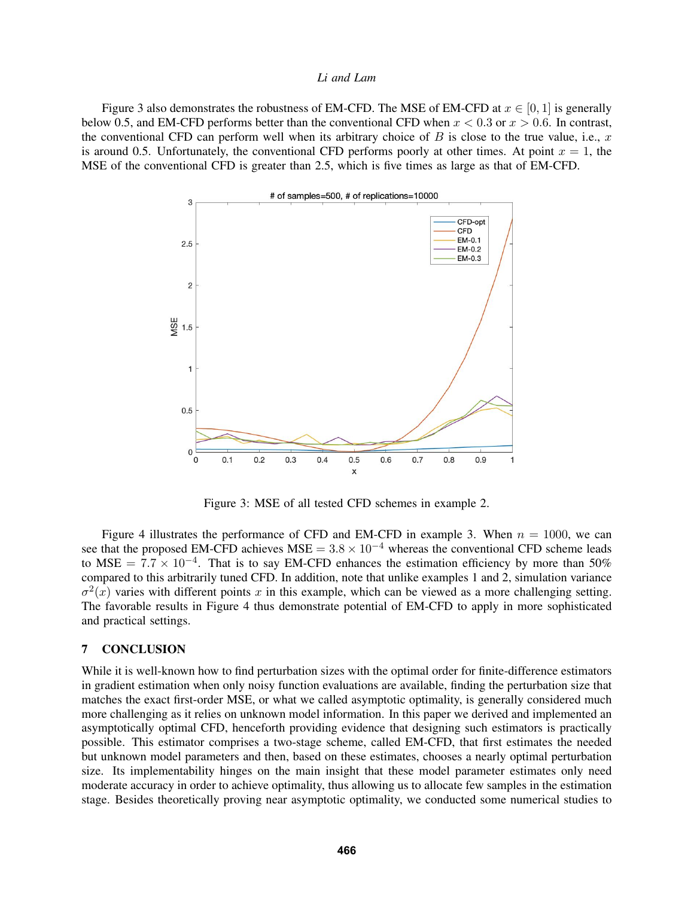Figure [3](#page-9-1) also demonstrates the robustness of EM-CFD. The MSE of EM-CFD at  $x \in [0, 1]$  is generally below 0.5, and EM-CFD performs better than the conventional CFD when  $x < 0.3$  or  $x > 0.6$ . In contrast, the conventional CFD can perform well when its arbitrary choice of  $B$  is close to the true value, i.e.,  $x$ is around 0.5. Unfortunately, the conventional CFD performs poorly at other times. At point  $x = 1$ , the MSE of the conventional CFD is greater than 2.5, which is five times as large as that of EM-CFD.



<span id="page-9-1"></span>Figure 3: MSE of all tested CFD schemes in example 2.

Figure [4](#page-10-6) illustrates the performance of CFD and EM-CFD in example 3. When  $n = 1000$ , we can see that the proposed EM-CFD achieves MSE =  $3.8 \times 10^{-4}$  whereas the conventional CFD scheme leads to MSE =  $7.7 \times 10^{-4}$ . That is to say EM-CFD enhances the estimation efficiency by more than 50% compared to this arbitrarily tuned CFD. In addition, note that unlike examples 1 and 2, simulation variance  $\sigma^2(x)$  varies with different points x in this example, which can be viewed as a more challenging setting. The favorable results in Figure [4](#page-10-6) thus demonstrate potential of EM-CFD to apply in more sophisticated and practical settings.

#### <span id="page-9-0"></span>7 CONCLUSION

While it is well-known how to find perturbation sizes with the optimal order for finite-difference estimators in gradient estimation when only noisy function evaluations are available, finding the perturbation size that matches the exact first-order MSE, or what we called asymptotic optimality, is generally considered much more challenging as it relies on unknown model information. In this paper we derived and implemented an asymptotically optimal CFD, henceforth providing evidence that designing such estimators is practically possible. This estimator comprises a two-stage scheme, called EM-CFD, that first estimates the needed but unknown model parameters and then, based on these estimates, chooses a nearly optimal perturbation size. Its implementability hinges on the main insight that these model parameter estimates only need moderate accuracy in order to achieve optimality, thus allowing us to allocate few samples in the estimation stage. Besides theoretically proving near asymptotic optimality, we conducted some numerical studies to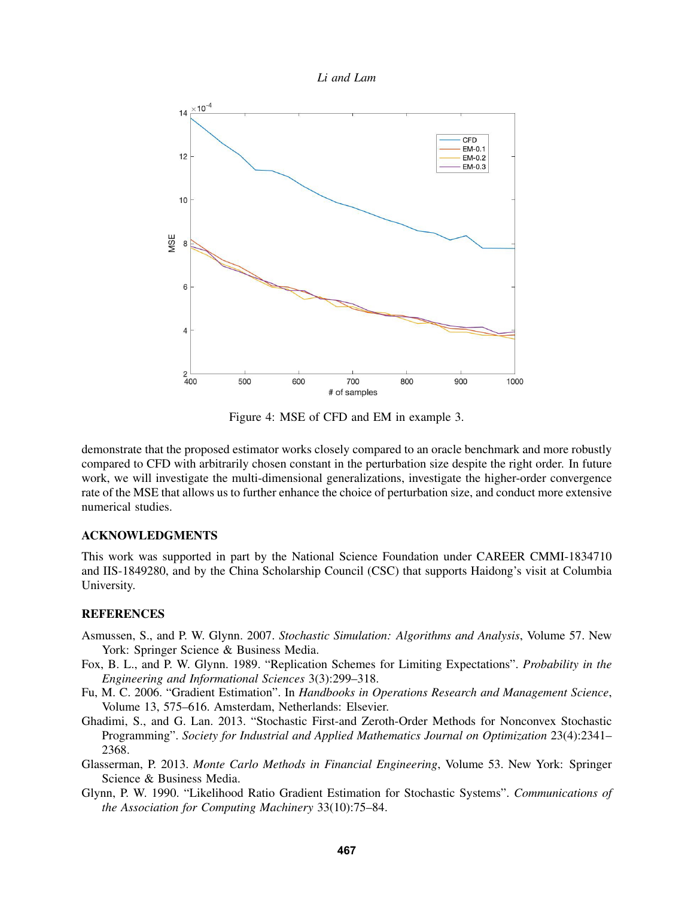



<span id="page-10-6"></span>Figure 4: MSE of CFD and EM in example 3.

demonstrate that the proposed estimator works closely compared to an oracle benchmark and more robustly compared to CFD with arbitrarily chosen constant in the perturbation size despite the right order. In future work, we will investigate the multi-dimensional generalizations, investigate the higher-order convergence rate of the MSE that allows us to further enhance the choice of perturbation size, and conduct more extensive numerical studies.

## ACKNOWLEDGMENTS

This work was supported in part by the National Science Foundation under CAREER CMMI-1834710 and IIS-1849280, and by the China Scholarship Council (CSC) that supports Haidong's visit at Columbia University.

## **REFERENCES**

- <span id="page-10-1"></span>Asmussen, S., and P. W. Glynn. 2007. *Stochastic Simulation: Algorithms and Analysis*, Volume 57. New York: Springer Science & Business Media.
- <span id="page-10-5"></span>Fox, B. L., and P. W. Glynn. 1989. "Replication Schemes for Limiting Expectations". *Probability in the Engineering and Informational Sciences* 3(3):299–318.
- <span id="page-10-2"></span>Fu, M. C. 2006. "Gradient Estimation". In *Handbooks in Operations Research and Management Science*, Volume 13, 575–616. Amsterdam, Netherlands: Elsevier.
- <span id="page-10-3"></span>Ghadimi, S., and G. Lan. 2013. "Stochastic First-and Zeroth-Order Methods for Nonconvex Stochastic Programming". *Society for Industrial and Applied Mathematics Journal on Optimization* 23(4):2341– 2368.
- <span id="page-10-0"></span>Glasserman, P. 2013. *Monte Carlo Methods in Financial Engineering*, Volume 53. New York: Springer Science & Business Media.
- <span id="page-10-4"></span>Glynn, P. W. 1990. "Likelihood Ratio Gradient Estimation for Stochastic Systems". *Communications of the Association for Computing Machinery* 33(10):75–84.